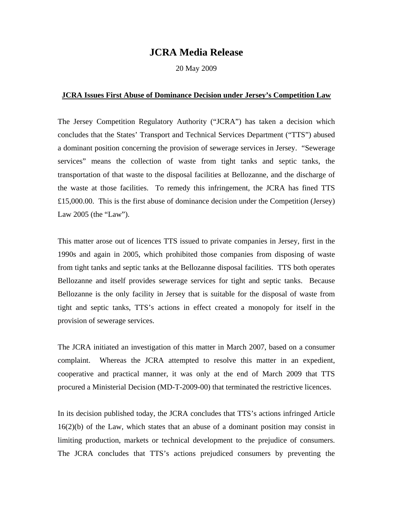## **JCRA Media Release**

20 May 2009

## **JCRA Issues First Abuse of Dominance Decision under Jersey's Competition Law**

The Jersey Competition Regulatory Authority ("JCRA") has taken a decision which concludes that the States' Transport and Technical Services Department ("TTS") abused a dominant position concerning the provision of sewerage services in Jersey. "Sewerage services" means the collection of waste from tight tanks and septic tanks, the transportation of that waste to the disposal facilities at Bellozanne, and the discharge of the waste at those facilities. To remedy this infringement, the JCRA has fined TTS £15,000.00. This is the first abuse of dominance decision under the Competition (Jersey) Law 2005 (the "Law").

This matter arose out of licences TTS issued to private companies in Jersey, first in the 1990s and again in 2005, which prohibited those companies from disposing of waste from tight tanks and septic tanks at the Bellozanne disposal facilities. TTS both operates Bellozanne and itself provides sewerage services for tight and septic tanks. Because Bellozanne is the only facility in Jersey that is suitable for the disposal of waste from tight and septic tanks, TTS's actions in effect created a monopoly for itself in the provision of sewerage services.

The JCRA initiated an investigation of this matter in March 2007, based on a consumer complaint. Whereas the JCRA attempted to resolve this matter in an expedient, cooperative and practical manner, it was only at the end of March 2009 that TTS procured a Ministerial Decision (MD-T-2009-00) that terminated the restrictive licences.

In its decision published today, the JCRA concludes that TTS's actions infringed Article 16(2)(b) of the Law, which states that an abuse of a dominant position may consist in limiting production, markets or technical development to the prejudice of consumers. The JCRA concludes that TTS's actions prejudiced consumers by preventing the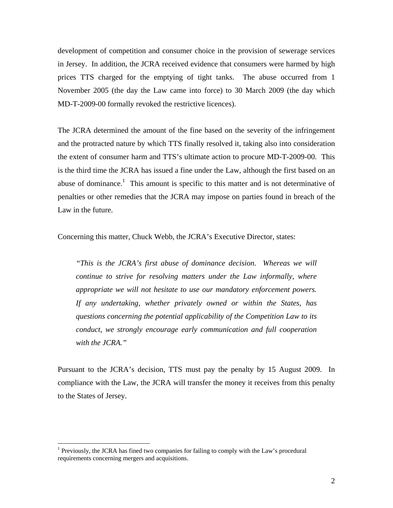development of competition and consumer choice in the provision of sewerage services in Jersey. In addition, the JCRA received evidence that consumers were harmed by high prices TTS charged for the emptying of tight tanks. The abuse occurred from 1 November 2005 (the day the Law came into force) to 30 March 2009 (the day which MD-T-2009-00 formally revoked the restrictive licences).

The JCRA determined the amount of the fine based on the severity of the infringement and the protracted nature by which TTS finally resolved it, taking also into consideration the extent of consumer harm and TTS's ultimate action to procure MD-T-2009-00. This is the third time the JCRA has issued a fine under the Law, although the first based on an abuse of dominance.<sup>1</sup> This amount is specific to this matter and is not determinative of penalties or other remedies that the JCRA may impose on parties found in breach of the Law in the future.

Concerning this matter, Chuck Webb, the JCRA's Executive Director, states:

*"This is the JCRA's first abuse of dominance decision. Whereas we will continue to strive for resolving matters under the Law informally, where appropriate we will not hesitate to use our mandatory enforcement powers. If any undertaking, whether privately owned or within the States, has questions concerning the potential applicability of the Competition Law to its conduct, we strongly encourage early communication and full cooperation with the JCRA."* 

Pursuant to the JCRA's decision, TTS must pay the penalty by 15 August 2009. In compliance with the Law, the JCRA will transfer the money it receives from this penalty to the States of Jersey.

1

 $<sup>1</sup>$  Previously, the JCRA has fined two companies for failing to comply with the Law's procedural</sup> requirements concerning mergers and acquisitions.